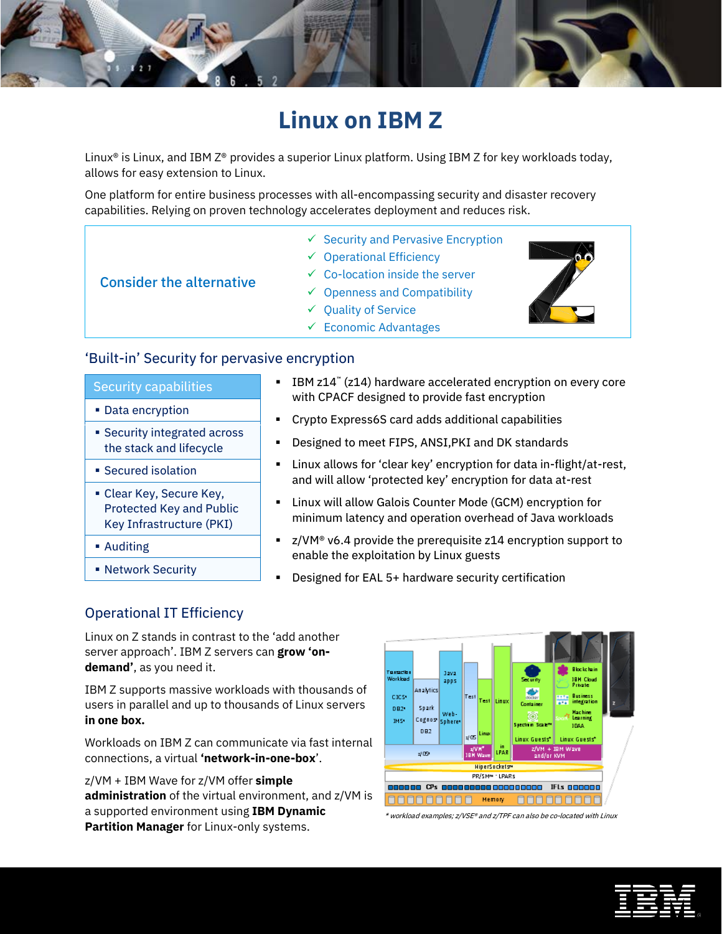

Linux<sup>®</sup> is Linux, and IBM Z<sup>®</sup> provides a superior Linux platform. Using IBM Z for key workloads today, allows for easy extension to Linux.

One platform for entire business processes with all-encompassing security and disaster recovery capabilities. Relying on proven technology accelerates deployment and reduces risk.

- $\checkmark$  Security and Pervasive Encryption
- $\checkmark$  Operational Efficiency
- $\checkmark$  Co-location inside the server
	- $\checkmark$  Openness and Compatibility
	- $\checkmark$  Quality of Service
	- $\checkmark$  Economic Advantages

Consider the alternative

## 'Built-in' Security for pervasive encryption

#### Security capabilities

- Data encryption
- **Security integrated across** the stack and lifecycle
- Secured isolation
- Clear Key, Secure Key, Protected Key and Public Key Infrastructure (PKI)
- Auditing
- **Network Security**
- IBM z14<sup>™</sup> (z14) hardware accelerated encryption on every core with CPACF designed to provide fast encryption
- Crypto Express6S card adds additional capabilities
- Designed to meet FIPS, ANSI,PKI and DK standards
- Linux allows for 'clear key' encryption for data in-flight/at-rest, and will allow 'protected key' encryption for data at-rest
- Linux will allow Galois Counter Mode (GCM) encryption for minimum latency and operation overhead of Java workloads
- z/VM<sup>®</sup> v6.4 provide the prerequisite z14 encryption support to enable the exploitation by Linux guests
- Designed for EAL 5+ hardware security certification

# Operational IT Efficiency

Linux on Z stands in contrast to the 'add another server approach'. IBM Z servers can **grow 'ondemand'**, as you need it.

IBM Z supports massive workloads with thousands of users in parallel and up to thousands of Linux servers **in one box.**

Workloads on IBM Z can communicate via fast internal connections, a virtual **'network-in-one-box**'.

z/VM + IBM Wave for z/VM offer **simple administration** of the virtual environment, and z/VM is a supported environment using **IBM Dynamic Partition Manager** for Linux-only systems.



\* workload examples; z/VSE® and z/TPF can also be co-located with Linux

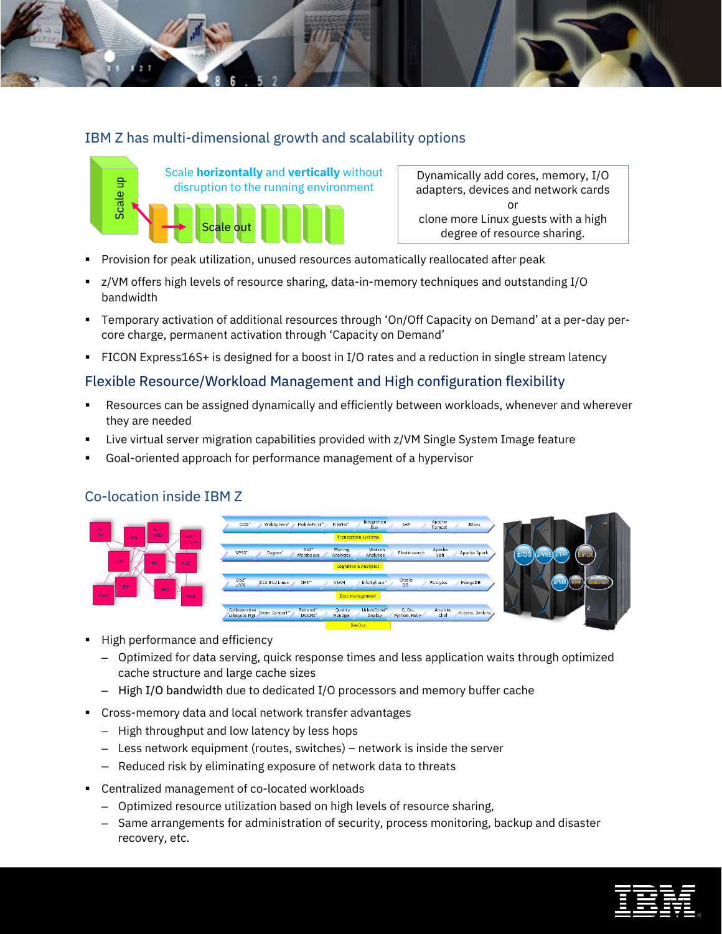# IBM Z has multi-dimensional growth and scalability options



Dynamically add cores, memory, I/O adapters, devices and network cards or clone more Linux guests with a high degree of resource sharing.

- Provision for peak utilization, unused resources automatically reallocated after peak
- z/VM offers high levels of resource sharing, data-in-memory techniques and outstanding I/O bandwidth
- Temporary activation of additional resources through 'On/Off Capacity on Demand' at a per-day percore charge, permanent activation through 'Capacity on Demand'
- FICON Express16S+ is designed for a boost in I/O rates and a reduction in single stream latency

# Flexible Resource/Workload Management and High configuration flexibility

- Resources can be assigned dynamically and efficiently between workloads, whenever and wherever they are needed
- Live virtual server migration capabilities provided with z/VM Single System Image feature
- Goal-oriented approach for performance management of a hypervisor

## Co-location inside IBM Z



- High performance and efficiency
	- Optimized for data serving, quick response times and less application waits through optimized cache structure and large cache sizes
	- High I/O bandwidth due to dedicated I/O processors and memory buffer cache
- Cross-memory data and local network transfer advantages
	- High throughput and low latency by less hops
	- Less network equipment (routes, switches) network is inside the server
	- Reduced risk by eliminating exposure of network data to threats
- Centralized management of co-located workloads
	- Optimized resource utilization based on high levels of resource sharing,
	- Same arrangements for administration of security, process monitoring, backup and disaster recovery, etc.

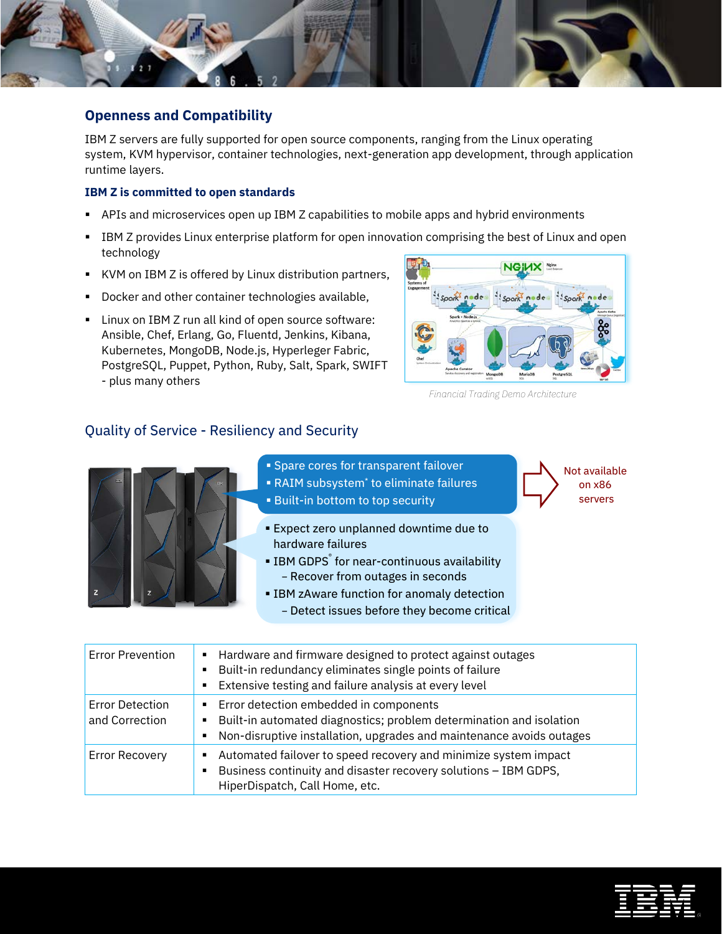

IBM Z servers are fully supported for open source components, ranging from the Linux operating system, KVM hypervisor, container technologies, next-generation app development, through application runtime layers.

#### **IBM Z is committed to open standards**

- APIs and microservices open up IBM Z capabilities to mobile apps and hybrid environments
- **IBM Z provides Linux enterprise platform for open innovation comprising the best of Linux and open** technology
- KVM on IBM Z is offered by Linux distribution partners,
- **Docker and other container technologies available,**
- **EXECT** Linux on IBM Z run all kind of open source software: Ansible, Chef, Erlang, Go, Fluentd, Jenkins, Kibana, Kubernetes, MongoDB, Node.js, Hyperleger Fabric, PostgreSQL, Puppet, Python, Ruby, Salt, Spark, SWIFT - plus many others



*Financial Trading Demo Architecture* 

Not available on x86 servers

## Quality of Service - Resiliency and Security



- **Spare cores for transparent failover**
- RAIM subsystem\* to eliminate failures
- **Built-in bottom to top security**
- Expect zero unplanned downtime due to hardware failures
- **IBM GDPS**<sup>®</sup> for near-continuous availability − Recover from outages in seconds
- **EIBM zAware function for anomaly detection** − Detect issues before they become critical

| <b>Error Prevention</b>                  | Hardware and firmware designed to protect against outages<br>٠<br>Built-in redundancy eliminates single points of failure<br>Extensive testing and failure analysis at every level<br>٠    |
|------------------------------------------|--------------------------------------------------------------------------------------------------------------------------------------------------------------------------------------------|
| <b>Error Detection</b><br>and Correction | Error detection embedded in components<br>٠<br>Built-in automated diagnostics; problem determination and isolation<br>Non-disruptive installation, upgrades and maintenance avoids outages |
| <b>Error Recovery</b>                    | Automated failover to speed recovery and minimize system impact<br>Business continuity and disaster recovery solutions - IBM GDPS,<br>HiperDispatch, Call Home, etc.                       |